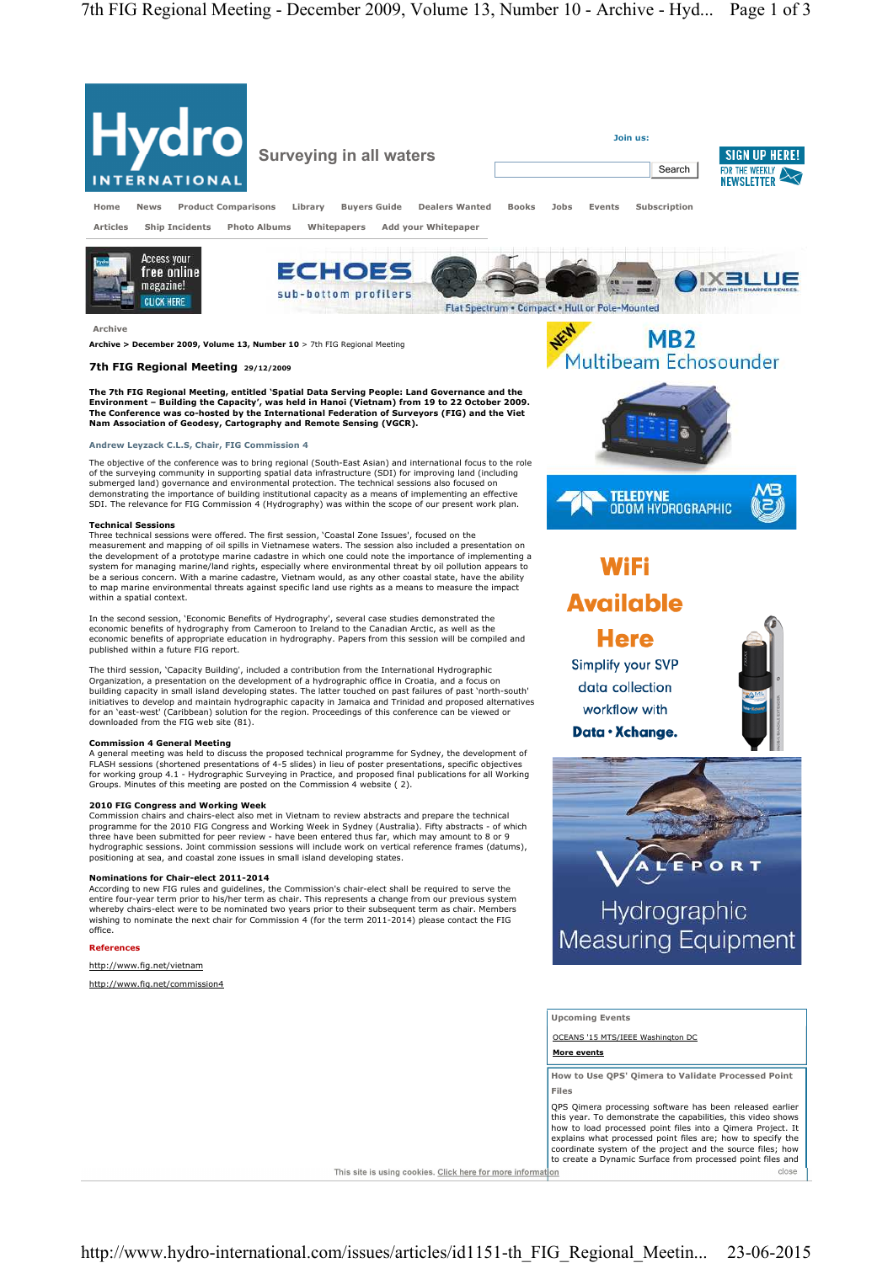

## **Andrew Leyzack C.L.S, Chair, FIG Commission 4**

The objective of the conference was to bring regional (South-East Asian) and international focus to the role of the surveying community in supporting spatial data infrastructure (SDI) for improving land (including submerged land) governance and environmental protection. The technical sessions also focused on demonstrating the importance of building institutional capacity as a means of implementing an effective SDI. The relevance for FIG Commission 4 (Hydrography) was within the scope of our present work plan.

## **Technical Sessions**

Three technical sessions were offered. The first session, 'Coastal Zone Issues', focused on the measurement and mapping of oil spills in Vietnamese waters. The session also included a presentation on the development of a prototype marine cadastre in which one could note the importance of implementing a system for managing marine/land rights, especially where environmental threat by oil pollution appears to be a serious concern. With a marine cadastre, Vietnam would, as any other coastal state, have the ability to map marine environmental threats against specific land use rights as a means to measure the impact within a spatial context.

In the second session, 'Economic Benefits of Hydrography', several case studies demonstrated the economic benefits of hydrography from Cameroon to Ireland to the Canadian Arctic, as well as the economic benefits of appropriate education in hydrography. Papers from this session will be compiled and published within a future FIG report.

The third session, 'Capacity Building', included a contribution from the International Hydrographic Organization, a presentation on the development of a hydrographic office in Croatia, and a focus on building capacity in small island developing states. The latter touched on past failures of past 'north-south' initiatives to develop and maintain hydrographic capacity in Jamaica and Trinidad and proposed alternatives for an 'east-west' (Caribbean) solution for the region. Proceedings of this conference can be viewed or downloaded from the FIG web site (81).

**Commission 4 General Meeting**<br>A general meeting was held to discuss the proposed technical programme for Sydney, the development of<br>FLASH sessions (shortened presentations of 4-5 slides) in lieu of poster presentations, s for working group 4.1 - Hydrographic Surveying in Practice, and proposed final publications for all Working Groups. Minutes of this meeting are posted on the Commission 4 website ( 2).

### **2010 FIG Congress and Working Week**

Commission chairs and chairs-elect also met in Vietnam to review abstracts and prepare the technical programme for the 2010 FIG Congress and Working Week in Sydney (Australia). Fifty abstracts - of which three have been submitted for peer review - have been entered thus far, which may amount to 8 or 9 hydrographic sessions. Joint commission sessions will include work on vertical reference frames (datums), positioning at sea, and coastal zone issues in small island developing states.

**Nominations for Chair-elect 2011-2014**  According to new FIG rules and guidelines, the Commission's chair-elect shall be required to serve the entire four-year term prior to his/her term as chair. This represents a change from our previous system whereby chairs-elect were to be nominated two years prior to their subsequent term as chair. Members wishing to nominate the next chair for Commission 4 (for the term 2011-2014) please contact the FIG office.

## **References**

## http://www.fig.net/vietnam

http://www.fig.net/commission4



# **WiFi Available**

**Here** Simplify your SVP data collection workflow with Data · Xchange.





**Upcoming Events** 

OCEANS '15 MTS/IEEE Washington DC

**More events**

**How to Use QPS' Qimera to Validate Processed Point Files** 

QPS Qimera processing software has been released earlier this year. To demonstrate the capabilities, this video shows how to load processed point files into a Qimera Project. It explains what processed point files are; how to specify the coordinate system of the project and the source files; how to create a Dynamic Surface from processed point files and close

This site is using cookies. Click here for more information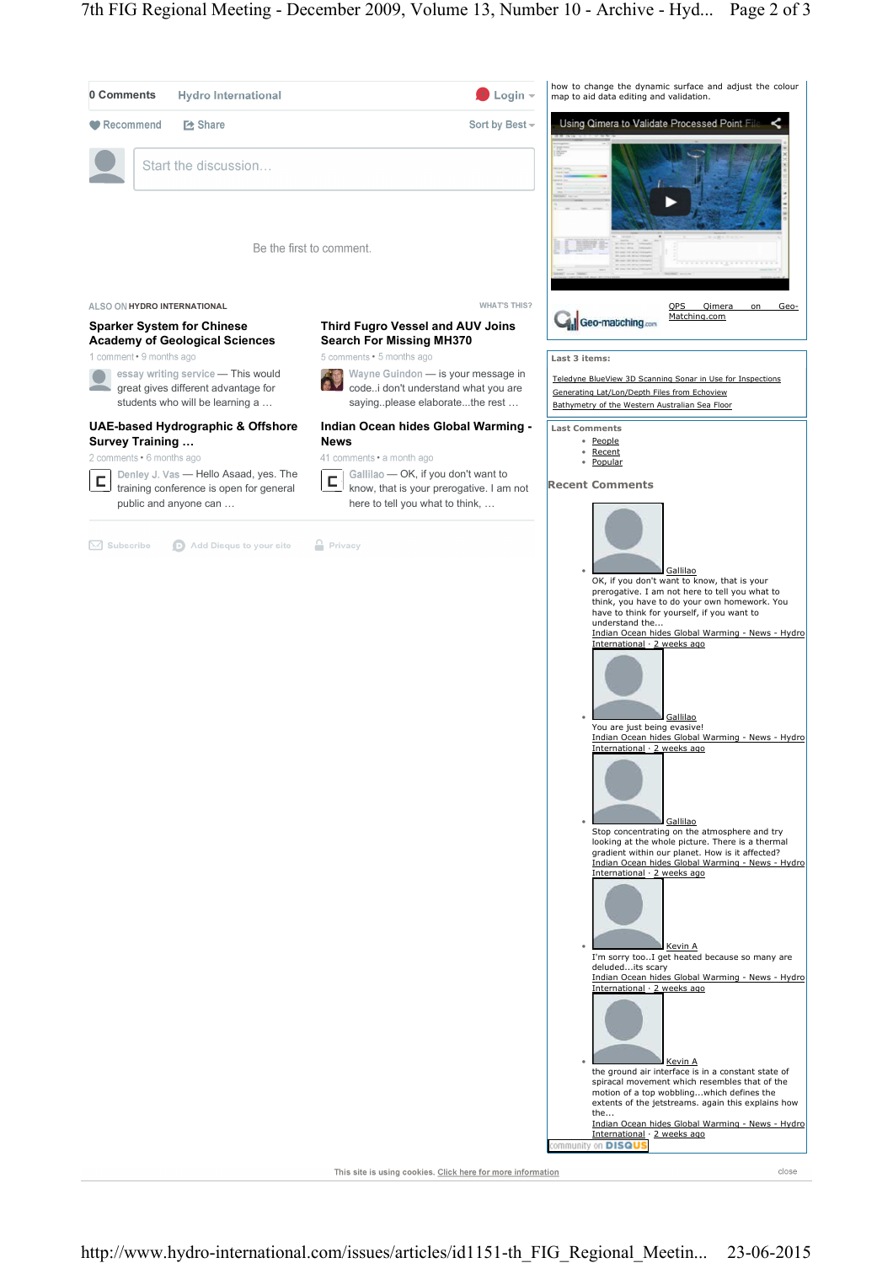

This site is using cookies. Click here for more information